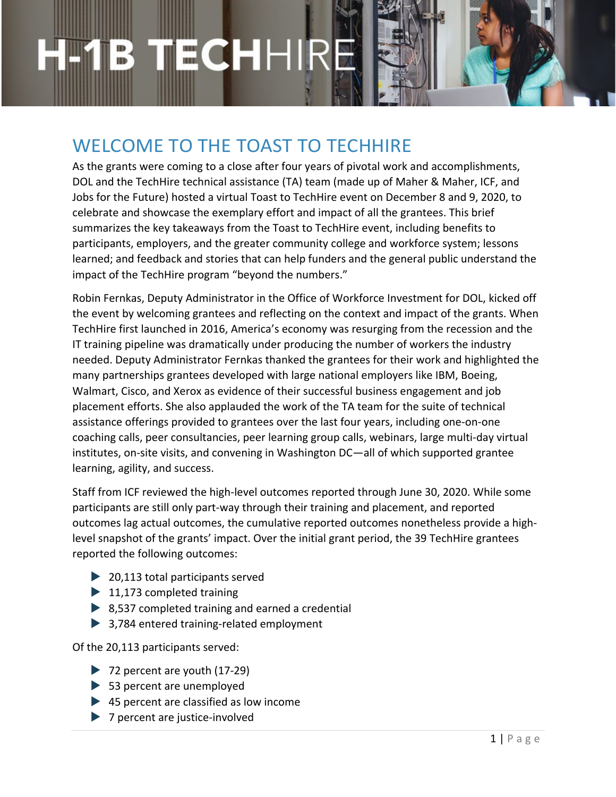## WELCOME TO THE TOAST TO TECHHIRE

As the grants were coming to a close after four years of pivotal work and accomplishments, DOL and the TechHire technical assistance (TA) team (made up of Maher & Maher, ICF, and Jobs for the Future) hosted a virtual Toast to TechHire event on December 8 and 9, 2020, to celebrate and showcase the exemplary effort and impact of all the grantees. This brief summarizes the key takeaways from the Toast to TechHire event, including benefits to participants, employers, and the greater community college and workforce system; lessons learned; and feedback and stories that can help funders and the general public understand the impact of the TechHire program "beyond the numbers."

Robin Fernkas, Deputy Administrator in the Office of Workforce Investment for DOL, kicked off the event by welcoming grantees and reflecting on the context and impact of the grants. When TechHire first launched in 2016, America's economy was resurging from the recession and the IT training pipeline was dramatically under producing the number of workers the industry needed. Deputy Administrator Fernkas thanked the grantees for their work and highlighted the many partnerships grantees developed with large national employers like IBM, Boeing, Walmart, Cisco, and Xerox as evidence of their successful business engagement and job placement efforts. She also applauded the work of the TA team for the suite of technical assistance offerings provided to grantees over the last four years, including one-on-one coaching calls, peer consultancies, peer learning group calls, webinars, large multi-day virtual institutes, on-site visits, and convening in Washington DC—all of which supported grantee learning, agility, and success.

Staff from ICF reviewed the high-level outcomes reported through June 30, 2020. While some participants are still only part-way through their training and placement, and reported outcomes lag actual outcomes, the cumulative reported outcomes nonetheless provide a highlevel snapshot of the grants' impact. Over the initial grant period, the 39 TechHire grantees reported the following outcomes:

- **▶ 20,113 total participants served**
- $\blacktriangleright$  11,173 completed training
- ▶ 8,537 completed training and earned a credential
- **▶ 3,784 entered training-related employment**

Of the 20,113 participants served:

- ▶ 72 percent are youth (17-29)
- ▶ 53 percent are unemployed
- ▶ 45 percent are classified as low income
- ▶ 7 percent are justice-involved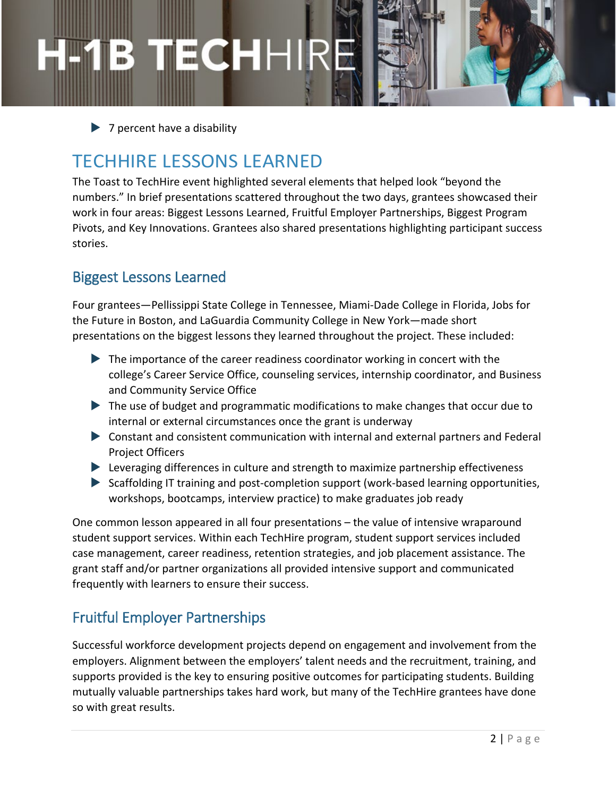$\triangleright$  7 percent have a disability

## TECHHIRE LESSONS LEARNED

The Toast to TechHire event highlighted several elements that helped look "beyond the numbers." In brief presentations scattered throughout the two days, grantees showcased their work in four areas: Biggest Lessons Learned, Fruitful Employer Partnerships, Biggest Program Pivots, and Key Innovations. Grantees also shared presentations highlighting participant success stories.

### Biggest Lessons Learned

Four grantees—Pellissippi State College in Tennessee, Miami-Dade College in Florida, Jobs for the Future in Boston, and LaGuardia Community College in New York—made short presentations on the biggest lessons they learned throughout the project. These included:

- ▶ The importance of the career readiness coordinator working in concert with the college's Career Service Office, counseling services, internship coordinator, and Business and Community Service Office
- The use of budget and programmatic modifications to make changes that occur due to internal or external circumstances once the grant is underway
- Constant and consistent communication with internal and external partners and Federal Project Officers
- Leveraging differences in culture and strength to maximize partnership effectiveness
- Scaffolding IT training and post-completion support (work-based learning opportunities, workshops, bootcamps, interview practice) to make graduates job ready

One common lesson appeared in all four presentations – the value of intensive wraparound student support services. Within each TechHire program, student support services included case management, career readiness, retention strategies, and job placement assistance. The grant staff and/or partner organizations all provided intensive support and communicated frequently with learners to ensure their success.

### Fruitful Employer Partnerships

Successful workforce development projects depend on engagement and involvement from the employers. Alignment between the employers' talent needs and the recruitment, training, and supports provided is the key to ensuring positive outcomes for participating students. Building mutually valuable partnerships takes hard work, but many of the TechHire grantees have done so with great results.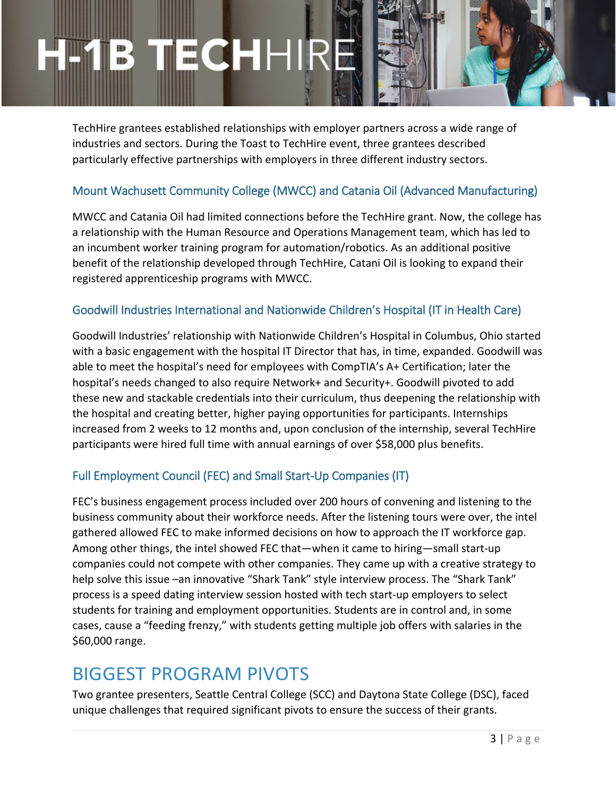# ECHHI

TechHire grantees established relationships with employer partners across a wide range of industries and sectors. During the Toast to TechHire event, three grantees described particularly effective partnerships with employers in three different industry sectors.

#### Mount Wachusett Community College (MWCC) and Catania Oil (Advanced Manufacturing)

MWCC and Catania Oil had limited connections before the TechHire grant. Now, the college has a relationship with the Human Resource and Operations Management team, which has led to an incumbent worker training program for automation/robotics. As an additional positive benefit of the relationship developed through TechHire, Catani Oil is looking to expand their registered apprenticeship programs with MWCC.

#### Goodwill Industries International and Nationwide Children's Hospital (IT in Health Care)

Goodwill Industries' relationship with Nationwide Children's Hospital in Columbus, Ohio started with a basic engagement with the hospital IT Director that has, in time, expanded. Goodwill was able to meet the hospital's need for employees with CompTIA's A+ Certification; later the hospital's needs changed to also require Network+ and Security+. Goodwill pivoted to add these new and stackable credentials into their curriculum, thus deepening the relationship with the hospital and creating better, higher paying opportunities for participants. Internships increased from 2 weeks to 12 months and, upon conclusion of the internship, several TechHire participants were hired full time with annual earnings of over \$58,000 plus benefits.

#### Full Employment Council (FEC) and Small Start-Up Companies (IT)

FEC's business engagement process included over 200 hours of convening and listening to the business community about their workforce needs. After the listening tours were over, the intel gathered allowed FEC to make informed decisions on how to approach the IT workforce gap. Among other things, the intel showed FEC that—when it came to hiring—small start-up companies could not compete with other companies. They came up with a creative strategy to help solve this issue –an innovative "Shark Tank" style interview process. The "Shark Tank" process is a speed dating interview session hosted with tech start-up employers to select students for training and employment opportunities. Students are in control and, in some cases, cause a "feeding frenzy," with students getting multiple job offers with salaries in the \$60,000 range.

### BIGGEST PROGRAM PIVOTS

Two grantee presenters, Seattle Central College (SCC) and Daytona State College (DSC), faced unique challenges that required significant pivots to ensure the success of their grants.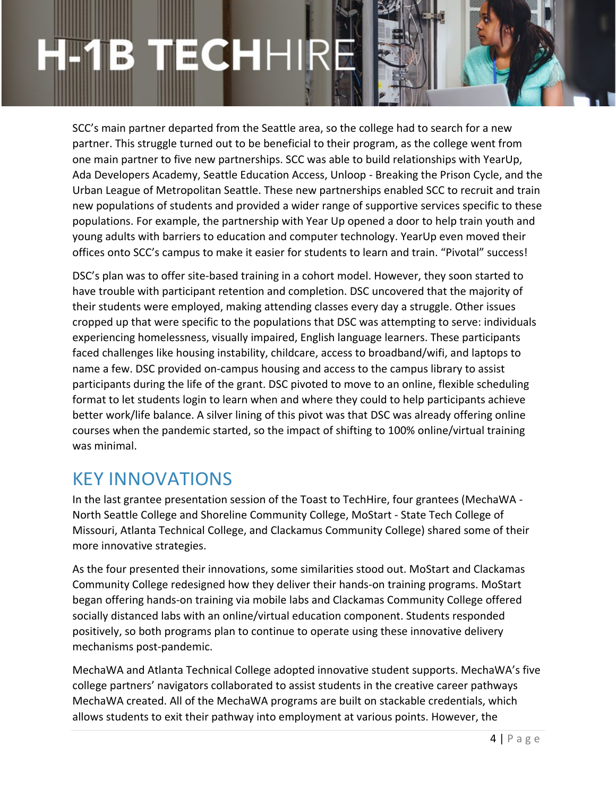# ECHHI

SCC's main partner departed from the Seattle area, so the college had to search for a new partner. This struggle turned out to be beneficial to their program, as the college went from one main partner to five new partnerships. SCC was able to build relationships with YearUp, Ada Developers Academy, Seattle Education Access, Unloop - Breaking the Prison Cycle, and the Urban League of Metropolitan Seattle. These new partnerships enabled SCC to recruit and train new populations of students and provided a wider range of supportive services specific to these populations. For example, the partnership with Year Up opened a door to help train youth and young adults with barriers to education and computer technology. YearUp even moved their offices onto SCC's campus to make it easier for students to learn and train. "Pivotal" success!

DSC's plan was to offer site-based training in a cohort model. However, they soon started to have trouble with participant retention and completion. DSC uncovered that the majority of their students were employed, making attending classes every day a struggle. Other issues cropped up that were specific to the populations that DSC was attempting to serve: individuals experiencing homelessness, visually impaired, English language learners. These participants faced challenges like housing instability, childcare, access to broadband/wifi, and laptops to name a few. DSC provided on-campus housing and access to the campus library to assist participants during the life of the grant. DSC pivoted to move to an online, flexible scheduling format to let students login to learn when and where they could to help participants achieve better work/life balance. A silver lining of this pivot was that DSC was already offering online courses when the pandemic started, so the impact of shifting to 100% online/virtual training was minimal.

### KEY INNOVATIONS

In the last grantee presentation session of the Toast to TechHire, four grantees (MechaWA - North Seattle College and Shoreline Community College, MoStart - State Tech College of Missouri, Atlanta Technical College, and Clackamus Community College) shared some of their more innovative strategies.

As the four presented their innovations, some similarities stood out. MoStart and Clackamas Community College redesigned how they deliver their hands-on training programs. MoStart began offering hands-on training via mobile labs and Clackamas Community College offered socially distanced labs with an online/virtual education component. Students responded positively, so both programs plan to continue to operate using these innovative delivery mechanisms post-pandemic.

MechaWA and Atlanta Technical College adopted innovative student supports. MechaWA's five college partners' navigators collaborated to assist students in the creative career pathways MechaWA created. All of the MechaWA programs are built on stackable credentials, which allows students to exit their pathway into employment at various points. However, the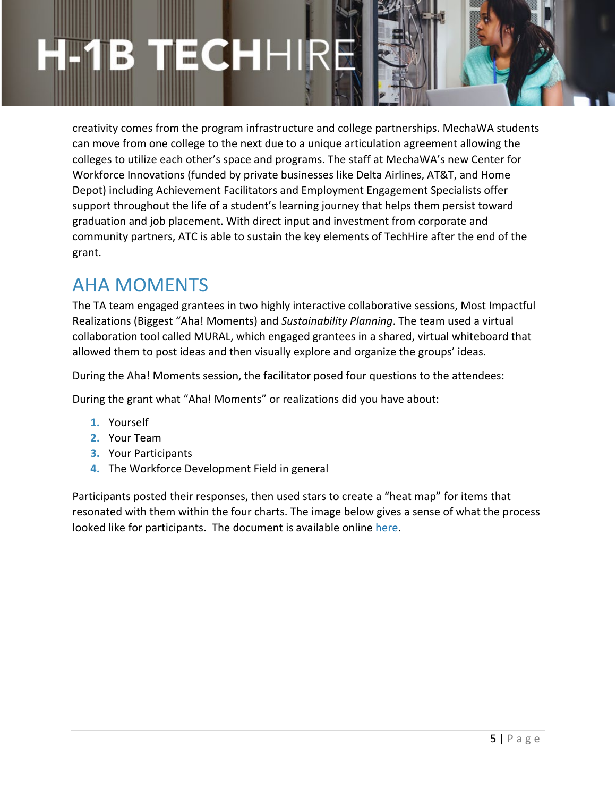creativity comes from the program infrastructure and college partnerships. MechaWA students can move from one college to the next due to a unique articulation agreement allowing the colleges to utilize each other's space and programs. The staff at MechaWA's new Center for Workforce Innovations (funded by private businesses like Delta Airlines, AT&T, and Home Depot) including Achievement Facilitators and Employment Engagement Specialists offer support throughout the life of a student's learning journey that helps them persist toward graduation and job placement. With direct input and investment from corporate and community partners, ATC is able to sustain the key elements of TechHire after the end of the grant.

### AHA MOMENTS

The TA team engaged grantees in two highly interactive collaborative sessions, Most Impactful Realizations (Biggest "Aha! Moments) and *Sustainability Planning*. The team used a virtual collaboration tool called MURAL, which engaged grantees in a shared, virtual whiteboard that allowed them to post ideas and then visually explore and organize the groups' ideas.

During the Aha! Moments session, the facilitator posed four questions to the attendees:

During the grant what "Aha! Moments" or realizations did you have about:

- **1.** Yourself
- **2.** Your Team
- **3.** Your Participants
- **4.** The Workforce Development Field in general

Participants posted their responses, then used stars to create a "heat map" for items that resonated with them within the four charts. The image below gives a sense of what the process looked like for participants. The document is available online [here.](https://h1btechhire.workforcegps.org/resources/2020/12/16/20/47/Toast-to-TechHire-Four-Years-of-Tech-Focused-Job-Training)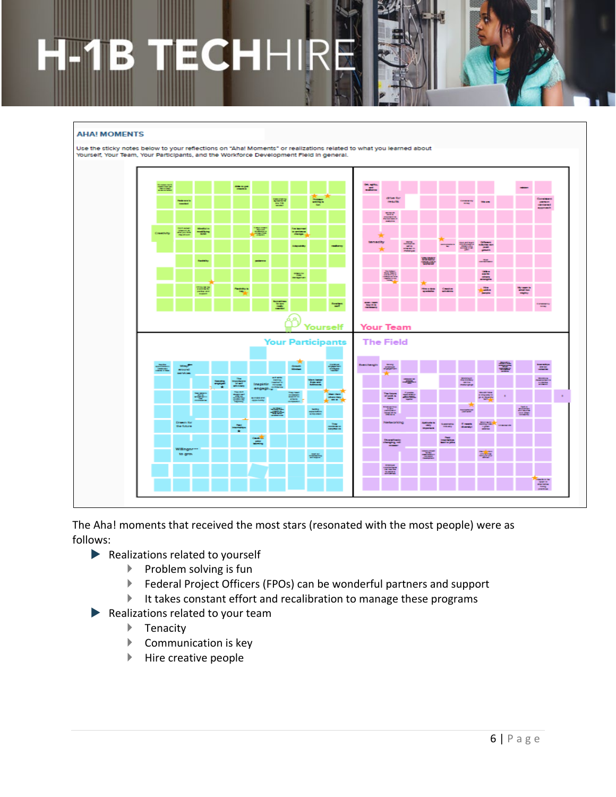# ECH **ID**

#### **AHA! MOMENTS**



The Aha! moments that received the most stars (resonated with the most people) were as follows:

- $\blacktriangleright$  Realizations related to yourself
	- $\blacktriangleright$  Problem solving is fun
	- Federal Project Officers (FPOs) can be wonderful partners and support
	- $\blacktriangleright$  It takes constant effort and recalibration to manage these programs
- Realizations related to your team
	- ▶ Tenacity
	- **Communication is key**
	- $\blacktriangleright$  Hire creative people

 $\alpha$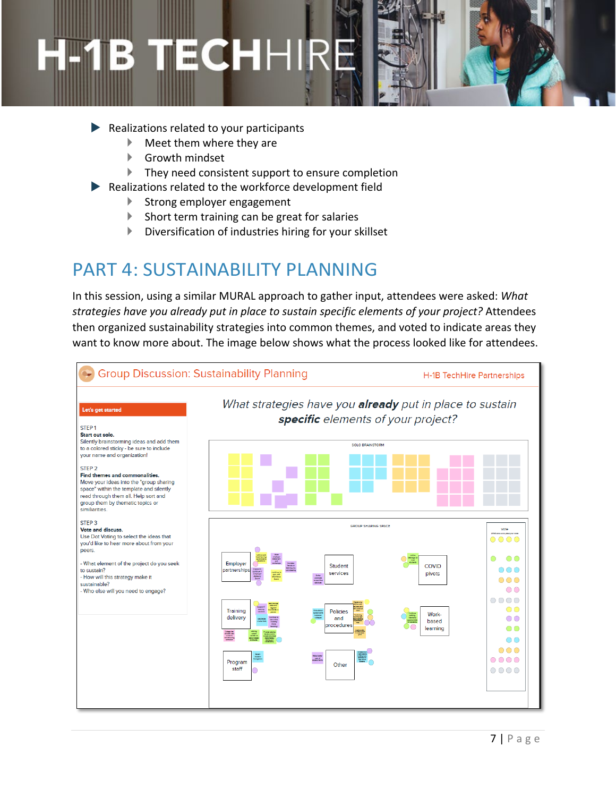# ECHH ID.

- Realizations related to your participants
	- Meet them where they are
	- Growth mindset
	- $\blacktriangleright$  They need consistent support to ensure completion
- Realizations related to the workforce development field
	- Strong employer engagement
	- $\blacktriangleright$  Short term training can be great for salaries
	- Diversification of industries hiring for your skillset

### PART 4: SUSTAINABILITY PLANNING

In this session, using a similar MURAL approach to gather input, attendees were asked: *What strategies have you already put in place to sustain specific elements of your project?* Attendees then organized sustainability strategies into common themes, and voted to indicate areas they want to know more about. The image below shows what the process looked like for attendees.

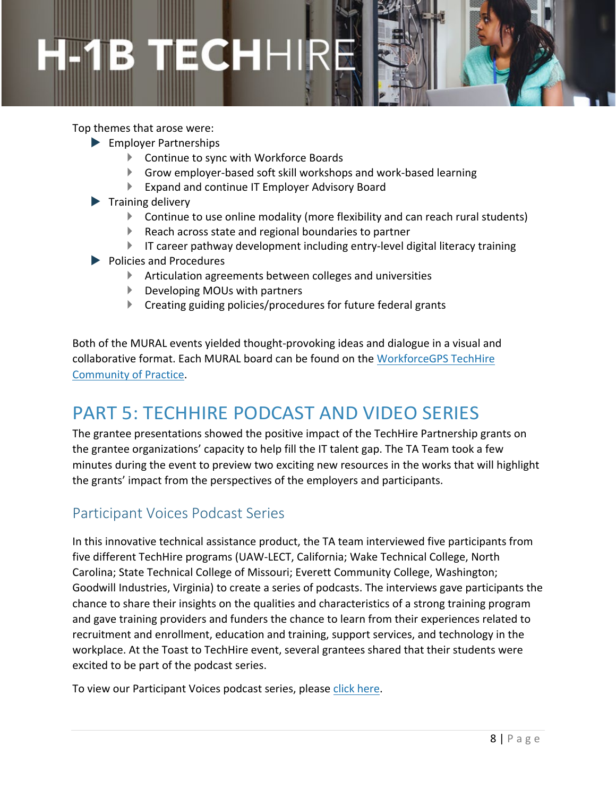Top themes that arose were:

- Employer Partnerships
	- Continue to sync with Workforce Boards
	- Grow employer-based soft skill workshops and work-based learning
	- Expand and continue IT Employer Advisory Board
- $\blacktriangleright$  Training delivery
	- Continue to use online modality (more flexibility and can reach rural students)
	- Reach across state and regional boundaries to partner
	- $\blacktriangleright$  IT career pathway development including entry-level digital literacy training
- ▶ Policies and Procedures
	- Articulation agreements between colleges and universities
	- ▶ Developing MOUs with partners
	- Creating guiding policies/procedures for future federal grants

Both of the MURAL events yielded thought-provoking ideas and dialogue in a visual and collaborative format. Each MURAL board can be found on the [WorkforceGPS TechHire](https://h1btechhire.workforcegps.org/resources/2020/12/16/20/47/Toast-to-TechHire-Four-Years-of-Tech-Focused-Job-Training)  [Community of Practice.](https://h1btechhire.workforcegps.org/resources/2020/12/16/20/47/Toast-to-TechHire-Four-Years-of-Tech-Focused-Job-Training)

### PART 5: TECHHIRE PODCAST AND VIDEO SERIES

The grantee presentations showed the positive impact of the TechHire Partnership grants on the grantee organizations' capacity to help fill the IT talent gap. The TA Team took a few minutes during the event to preview two exciting new resources in the works that will highlight the grants' impact from the perspectives of the employers and participants.

#### Participant Voices Podcast Series

In this innovative technical assistance product, the TA team interviewed five participants from five different TechHire programs (UAW-LECT, California; Wake Technical College, North Carolina; State Technical College of Missouri; Everett Community College, Washington; Goodwill Industries, Virginia) to create a series of podcasts. The interviews gave participants the chance to share their insights on the qualities and characteristics of a strong training program and gave training providers and funders the chance to learn from their experiences related to recruitment and enrollment, education and training, support services, and technology in the workplace. At the Toast to TechHire event, several grantees shared that their students were excited to be part of the podcast series.

To view our Participant Voices podcast series, please [click here.](https://h1btechhire.workforcegps.org/resources/2021/03/09/16/02/TechHire-Participant-Voices-Podcast-Series)